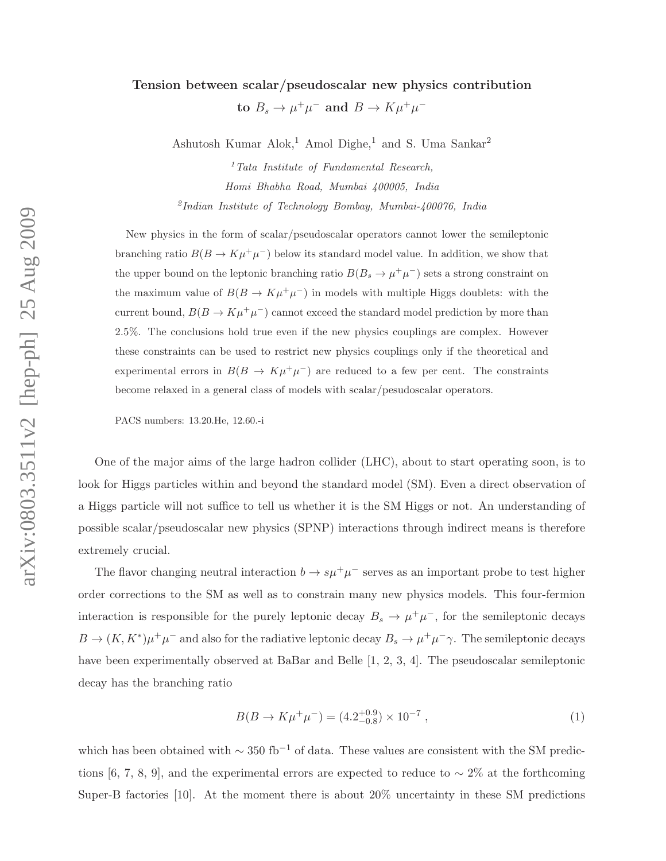## Tension between scalar/pseudoscalar new physics contribution

to  $B_s \to \mu^+\mu^-$  and  $B \to K\mu^+\mu^-$ 

Ashutosh Kumar Alok,<sup>1</sup> Amol Dighe,<sup>1</sup> and S. Uma Sankar<sup>2</sup>

 $1$ <sup>1</sup>Tata Institute of Fundamental Research, Homi Bhabha Road, Mumbai 400005, India 2 Indian Institute of Technology Bombay, Mumbai-400076, India

New physics in the form of scalar/pseudoscalar operators cannot lower the semileptonic branching ratio  $B(B \to K\mu^+\mu^-)$  below its standard model value. In addition, we show that the upper bound on the leptonic branching ratio  $B(B_s \to \mu^+ \mu^-)$  sets a strong constraint on the maximum value of  $B(B \to K\mu^+\mu^-)$  in models with multiple Higgs doublets: with the current bound,  $B(B \to K\mu^+\mu^-)$  cannot exceed the standard model prediction by more than 2.5%. The conclusions hold true even if the new physics couplings are complex. However these constraints can be used to restrict new physics couplings only if the theoretical and experimental errors in  $B(B \to K\mu^+\mu^-)$  are reduced to a few per cent. The constraints become relaxed in a general class of models with scalar/pesudoscalar operators.

PACS numbers: 13.20.He, 12.60.-i

One of the major aims of the large hadron collider (LHC), about to start operating soon, is to look for Higgs particles within and beyond the standard model (SM). Even a direct observation of a Higgs particle will not suffice to tell us whether it is the SM Higgs or not. An understanding of possible scalar/pseudoscalar new physics (SPNP) interactions through indirect means is therefore extremely crucial.

The flavor changing neutral interaction  $b \to s\mu^+\mu^-$  serves as an important probe to test higher order corrections to the SM as well as to constrain many new physics models. This four-fermion interaction is responsible for the purely leptonic decay  $B_s \to \mu^+ \mu^-$ , for the semileptonic decays  $B \to (K, K^*) \mu^+ \mu^-$  and also for the radiative leptonic decay  $B_s \to \mu^+ \mu^- \gamma$ . The semileptonic decays have been experimentally observed at BaBar and Belle [1, 2, 3, 4]. The pseudoscalar semileptonic decay has the branching ratio

$$
B(B \to K\mu^{+}\mu^{-}) = (4.2^{+0.9}_{-0.8}) \times 10^{-7} , \qquad (1)
$$

which has been obtained with  $\sim 350$  fb<sup>-1</sup> of data. These values are consistent with the SM predictions [6, 7, 8, 9], and the experimental errors are expected to reduce to  $\sim 2\%$  at the forthcoming Super-B factories [10]. At the moment there is about 20% uncertainty in these SM predictions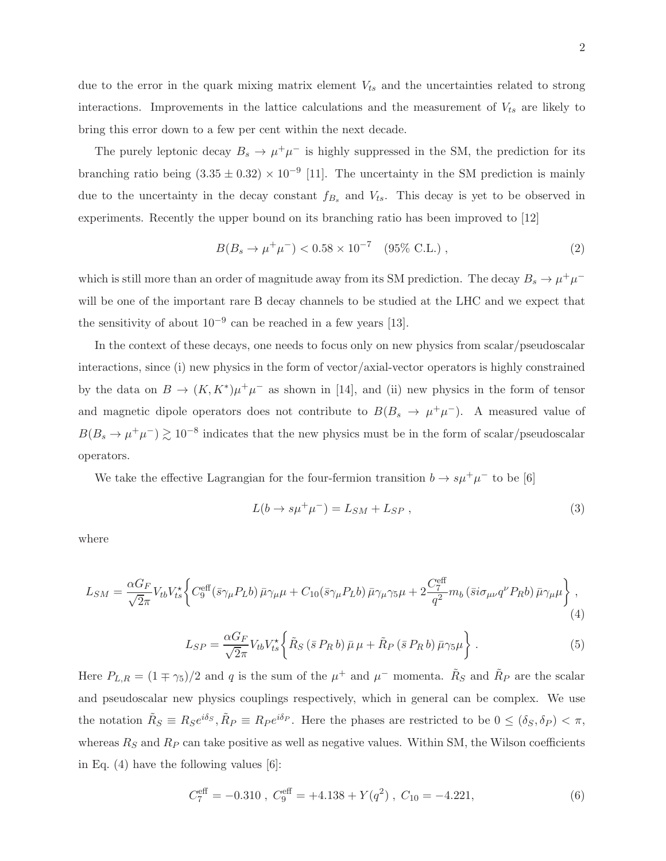due to the error in the quark mixing matrix element  $V_{ts}$  and the uncertainties related to strong interactions. Improvements in the lattice calculations and the measurement of  $V_{ts}$  are likely to bring this error down to a few per cent within the next decade.

The purely leptonic decay  $B_s \to \mu^+ \mu^-$  is highly suppressed in the SM, the prediction for its branching ratio being  $(3.35 \pm 0.32) \times 10^{-9}$  [11]. The uncertainty in the SM prediction is mainly due to the uncertainty in the decay constant  $f_{B_s}$  and  $V_{ts}$ . This decay is yet to be observed in experiments. Recently the upper bound on its branching ratio has been improved to [12]

$$
B(B_s \to \mu^+ \mu^-) < 0.58 \times 10^{-7} \quad (95\% \text{ C.L.}), \tag{2}
$$

which is still more than an order of magnitude away from its SM prediction. The decay  $B_s \to \mu^+ \mu^$ will be one of the important rare B decay channels to be studied at the LHC and we expect that the sensitivity of about  $10^{-9}$  can be reached in a few years [13].

In the context of these decays, one needs to focus only on new physics from scalar/pseudoscalar interactions, since (i) new physics in the form of vector/axial-vector operators is highly constrained by the data on  $B \to (K, K^*)\mu^+\mu^-$  as shown in [14], and (ii) new physics in the form of tensor and magnetic dipole operators does not contribute to  $B(B_s \to \mu^+ \mu^-)$ . A measured value of  $B(B_s \to \mu^+ \mu^-) \gtrsim 10^{-8}$  indicates that the new physics must be in the form of scalar/pseudoscalar operators.

We take the effective Lagrangian for the four-fermion transition  $b \to s \mu^+ \mu^-$  to be [6]

$$
L(b \to s\mu^+\mu^-) = L_{SM} + L_{SP} \,,\tag{3}
$$

where

$$
L_{SM} = \frac{\alpha G_F}{\sqrt{2\pi}} V_{tb} V_{ts}^* \left\{ C_9^{\text{eff}} (\bar{s}\gamma_\mu P_L b) \bar{\mu}\gamma_\mu \mu + C_{10} (\bar{s}\gamma_\mu P_L b) \bar{\mu}\gamma_\mu \gamma_5 \mu + 2 \frac{C_7^{\text{eff}}}{q^2} m_b (\bar{s} i\sigma_{\mu\nu} q^\nu P_R b) \bar{\mu}\gamma_\mu \mu \right\},\tag{4}
$$

$$
L_{SP} = \frac{\alpha G_F}{\sqrt{2}\pi} V_{tb} V_{ts}^* \left\{ \tilde{R}_S \left( \bar{s} P_R b \right) \bar{\mu} \mu + \tilde{R}_P \left( \bar{s} P_R b \right) \bar{\mu} \gamma_5 \mu \right\} . \tag{5}
$$

Here  $P_{L,R} = (1 \mp \gamma_5)/2$  and q is the sum of the  $\mu^+$  and  $\mu^-$  momenta.  $\tilde{R}_S$  and  $\tilde{R}_P$  are the scalar and pseudoscalar new physics couplings respectively, which in general can be complex. We use the notation  $\tilde{R}_S \equiv R_S e^{i\delta_S}, \tilde{R}_P \equiv R_P e^{i\delta_P}$ . Here the phases are restricted to be  $0 \leq (\delta_S, \delta_P) < \pi$ , whereas  $R<sub>S</sub>$  and  $R<sub>P</sub>$  can take positive as well as negative values. Within SM, the Wilson coefficients in Eq. (4) have the following values [6]:

$$
C_7^{\text{eff}} = -0.310 \ , \ C_9^{\text{eff}} = +4.138 + Y(q^2) \ , \ C_{10} = -4.221, \tag{6}
$$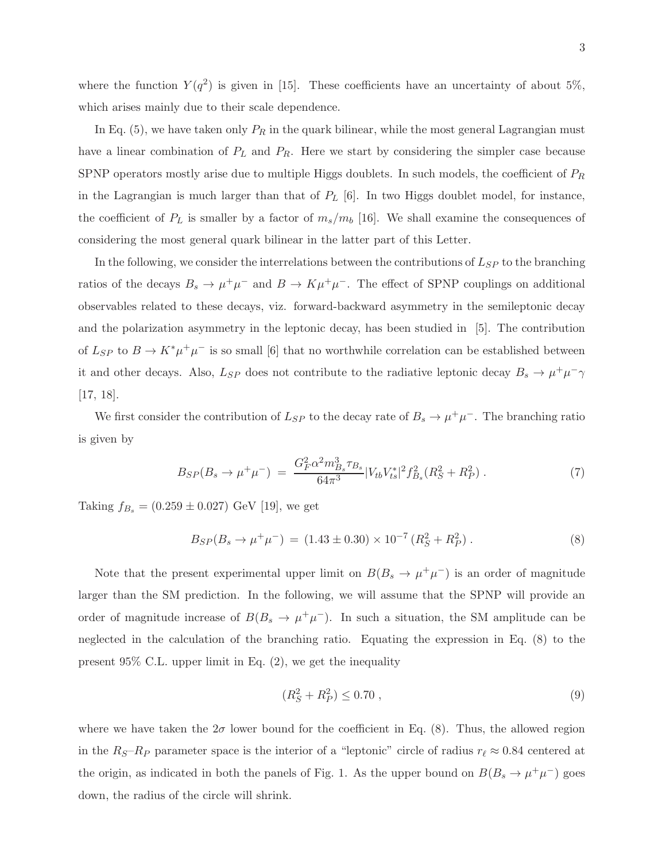where the function  $Y(q^2)$  is given in [15]. These coefficients have an uncertainty of about 5%, which arises mainly due to their scale dependence.

In Eq. (5), we have taken only  $P_R$  in the quark bilinear, while the most general Lagrangian must have a linear combination of  $P_L$  and  $P_R$ . Here we start by considering the simpler case because SPNP operators mostly arise due to multiple Higgs doublets. In such models, the coefficient of  $P_R$ in the Lagrangian is much larger than that of  $P_L$  [6]. In two Higgs doublet model, for instance, the coefficient of  $P_L$  is smaller by a factor of  $m_s/m_b$  [16]. We shall examine the consequences of considering the most general quark bilinear in the latter part of this Letter.

In the following, we consider the interrelations between the contributions of  $L_{SP}$  to the branching ratios of the decays  $B_s \to \mu^+\mu^-$  and  $B \to K\mu^+\mu^-$ . The effect of SPNP couplings on additional observables related to these decays, viz. forward-backward asymmetry in the semileptonic decay and the polarization asymmetry in the leptonic decay, has been studied in [5]. The contribution of  $L_{SP}$  to  $B \to K^* \mu^+ \mu^-$  is so small [6] that no worthwhile correlation can be established between it and other decays. Also,  $L_{SP}$  does not contribute to the radiative leptonic decay  $B_s \to \mu^+ \mu^- \gamma$ [17, 18].

We first consider the contribution of  $L_{SP}$  to the decay rate of  $B_s \to \mu^+ \mu^-$ . The branching ratio is given by

$$
B_{SP}(B_s \to \mu^+ \mu^-) = \frac{G_F^2 \alpha^2 m_{B_s}^3 \tau_{B_s}}{64\pi^3} |V_{tb} V_{ts}^*|^2 f_{B_s}^2 (R_S^2 + R_P^2) \,. \tag{7}
$$

Taking  $f_{B_s} = (0.259 \pm 0.027)$  GeV [19], we get

$$
B_{SP}(B_s \to \mu^+ \mu^-) = (1.43 \pm 0.30) \times 10^{-7} (R_S^2 + R_P^2) . \tag{8}
$$

Note that the present experimental upper limit on  $B(B_s \to \mu^+\mu^-)$  is an order of magnitude larger than the SM prediction. In the following, we will assume that the SPNP will provide an order of magnitude increase of  $B(B_s \to \mu^+\mu^-)$ . In such a situation, the SM amplitude can be neglected in the calculation of the branching ratio. Equating the expression in Eq. (8) to the present 95% C.L. upper limit in Eq. (2), we get the inequality

$$
(R_S^2 + R_P^2) \le 0.70 \tag{9}
$$

where we have taken the  $2\sigma$  lower bound for the coefficient in Eq. (8). Thus, the allowed region in the  $R_S-R_P$  parameter space is the interior of a "leptonic" circle of radius  $r_\ell \approx 0.84$  centered at the origin, as indicated in both the panels of Fig. 1. As the upper bound on  $B(B_s \to \mu^+ \mu^-)$  goes down, the radius of the circle will shrink.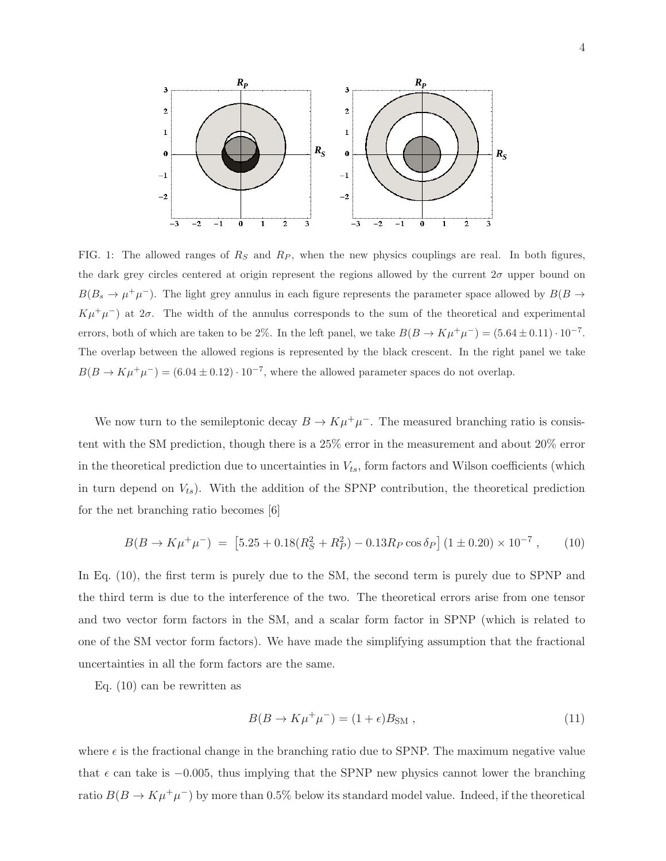

FIG. 1: The allowed ranges of  $R<sub>S</sub>$  and  $R<sub>P</sub>$ , when the new physics couplings are real. In both figures, the dark grey circles centered at origin represent the regions allowed by the current  $2\sigma$  upper bound on  $B(B_s \to \mu^+\mu^-)$ . The light grey annulus in each figure represents the parameter space allowed by  $B(B \to B))$  $K\mu^+\mu^-$ ) at  $2\sigma$ . The width of the annulus corresponds to the sum of the theoretical and experimental errors, both of which are taken to be 2%. In the left panel, we take  $B(B \to K\mu^+\mu^-) = (5.64 \pm 0.11) \cdot 10^{-7}$ . The overlap between the allowed regions is represented by the black crescent. In the right panel we take  $B(B \to K\mu^+\mu^-) = (6.04 \pm 0.12) \cdot 10^{-7}$ , where the allowed parameter spaces do not overlap.

We now turn to the semileptonic decay  $B \to K \mu^+ \mu^-$ . The measured branching ratio is consistent with the SM prediction, though there is a 25% error in the measurement and about 20% error in the theoretical prediction due to uncertainties in  $V_{ts}$ , form factors and Wilson coefficients (which in turn depend on  $V_{ts}$ ). With the addition of the SPNP contribution, the theoretical prediction for the net branching ratio becomes [6]

$$
B(B \to K\mu^+\mu^-) = [5.25 + 0.18(R_S^2 + R_P^2) - 0.13R_P \cos \delta_P] (1 \pm 0.20) \times 10^{-7}, \quad (10)
$$

In Eq. (10), the first term is purely due to the SM, the second term is purely due to SPNP and the third term is due to the interference of the two. The theoretical errors arise from one tensor and two vector form factors in the SM, and a scalar form factor in SPNP (which is related to one of the SM vector form factors). We have made the simplifying assumption that the fractional uncertainties in all the form factors are the same.

Eq. (10) can be rewritten as

$$
B(B \to K\mu^+\mu^-) = (1+\epsilon)B_{\rm SM} , \qquad (11)
$$

where  $\epsilon$  is the fractional change in the branching ratio due to SPNP. The maximum negative value that  $\epsilon$  can take is  $-0.005$ , thus implying that the SPNP new physics cannot lower the branching ratio  $B(B \to K \mu^+ \mu^-)$  by more than 0.5% below its standard model value. Indeed, if the theoretical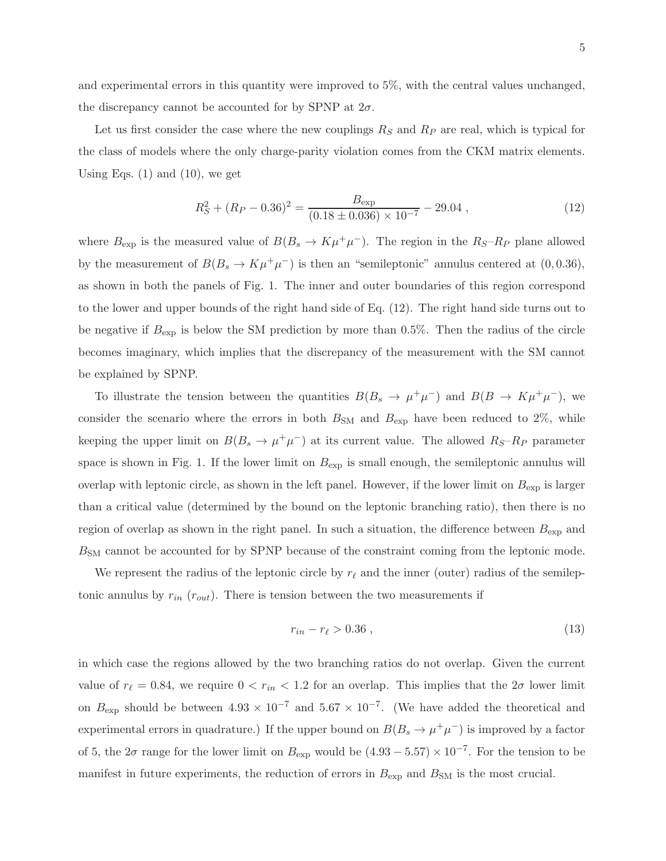and experimental errors in this quantity were improved to 5%, with the central values unchanged, the discrepancy cannot be accounted for by SPNP at  $2\sigma$ .

Let us first consider the case where the new couplings  $R<sub>S</sub>$  and  $R<sub>P</sub>$  are real, which is typical for the class of models where the only charge-parity violation comes from the CKM matrix elements. Using Eqs.  $(1)$  and  $(10)$ , we get

$$
R_S^2 + (R_P - 0.36)^2 = \frac{B_{\text{exp}}}{(0.18 \pm 0.036) \times 10^{-7}} - 29.04 ,\qquad (12)
$$

where  $B_{\text{exp}}$  is the measured value of  $B(B_s \to K\mu^+\mu^-)$ . The region in the  $R_S-R_P$  plane allowed by the measurement of  $B(B_s \to K\mu^+\mu^-)$  is then an "semileptonic" annulus centered at  $(0, 0.36)$ , as shown in both the panels of Fig. 1. The inner and outer boundaries of this region correspond to the lower and upper bounds of the right hand side of Eq. (12). The right hand side turns out to be negative if  $B_{\text{exp}}$  is below the SM prediction by more than 0.5%. Then the radius of the circle becomes imaginary, which implies that the discrepancy of the measurement with the SM cannot be explained by SPNP.

To illustrate the tension between the quantities  $B(B_s \to \mu^+\mu^-)$  and  $B(B \to K\mu^+\mu^-)$ , we consider the scenario where the errors in both  $B_{\rm SM}$  and  $B_{\rm exp}$  have been reduced to 2%, while keeping the upper limit on  $B(B_s \to \mu^+ \mu^-)$  at its current value. The allowed  $R_S-R_P$  parameter space is shown in Fig. 1. If the lower limit on  $B_{\text{exp}}$  is small enough, the semileptonic annulus will overlap with leptonic circle, as shown in the left panel. However, if the lower limit on  $B_{\text{exp}}$  is larger than a critical value (determined by the bound on the leptonic branching ratio), then there is no region of overlap as shown in the right panel. In such a situation, the difference between  $B_{\text{exp}}$  and BSM cannot be accounted for by SPNP because of the constraint coming from the leptonic mode.

We represent the radius of the leptonic circle by  $r_{\ell}$  and the inner (outer) radius of the semileptonic annulus by  $r_{in}$  ( $r_{out}$ ). There is tension between the two measurements if

$$
r_{in} - r_{\ell} > 0.36 \tag{13}
$$

in which case the regions allowed by the two branching ratios do not overlap. Given the current value of  $r_{\ell} = 0.84$ , we require  $0 < r_{in} < 1.2$  for an overlap. This implies that the  $2\sigma$  lower limit on  $B_{\text{exp}}$  should be between  $4.93 \times 10^{-7}$  and  $5.67 \times 10^{-7}$ . (We have added the theoretical and experimental errors in quadrature.) If the upper bound on  $B(B_s \to \mu^+ \mu^-)$  is improved by a factor of 5, the  $2\sigma$  range for the lower limit on  $B_{\text{exp}}$  would be  $(4.93 - 5.57) \times 10^{-7}$ . For the tension to be manifest in future experiments, the reduction of errors in  $B_{\text{exp}}$  and  $B_{\text{SM}}$  is the most crucial.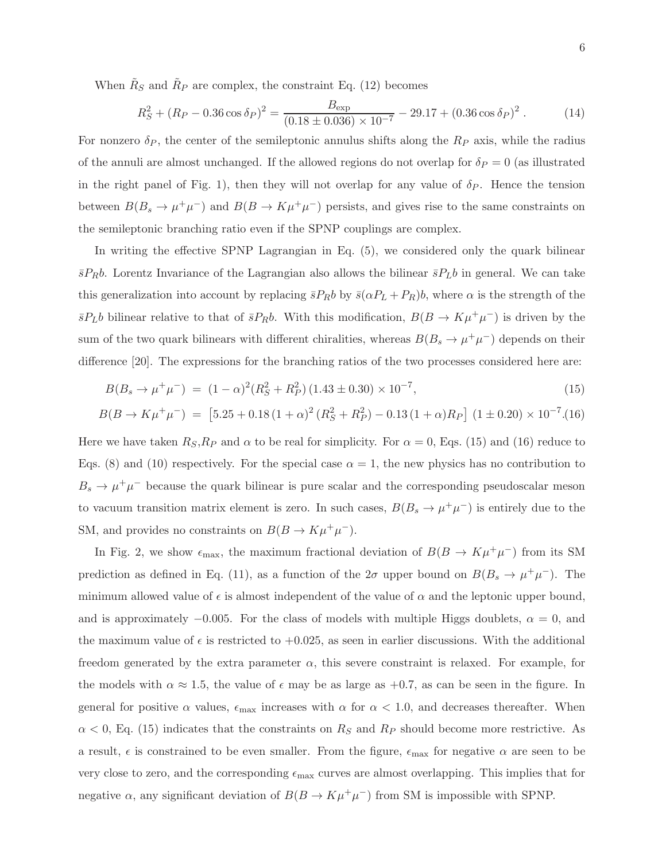When  $\tilde{R}_S$  and  $\tilde{R}_P$  are complex, the constraint Eq. (12) becomes

$$
R_S^2 + (R_P - 0.36 \cos \delta_P)^2 = \frac{B_{\text{exp}}}{(0.18 \pm 0.036) \times 10^{-7}} - 29.17 + (0.36 \cos \delta_P)^2. \tag{14}
$$

For nonzero  $\delta_P$ , the center of the semileptonic annulus shifts along the  $R_P$  axis, while the radius of the annuli are almost unchanged. If the allowed regions do not overlap for  $\delta_P = 0$  (as illustrated in the right panel of Fig. 1), then they will not overlap for any value of  $\delta_P$ . Hence the tension between  $B(B_s \to \mu^+\mu^-)$  and  $B(B \to K\mu^+\mu^-)$  persists, and gives rise to the same constraints on the semileptonic branching ratio even if the SPNP couplings are complex.

In writing the effective SPNP Lagrangian in Eq. (5), we considered only the quark bilinear  $\bar{s}P_Rb$ . Lorentz Invariance of the Lagrangian also allows the bilinear  $\bar{s}P_Lb$  in general. We can take this generalization into account by replacing  $\bar{s}P_Rb$  by  $\bar{s}(\alpha P_L + P_R)b$ , where  $\alpha$  is the strength of the  $\bar{s}P_Lb$  bilinear relative to that of  $\bar{s}P_Rb$ . With this modification,  $B(B \to K\mu^+\mu^-)$  is driven by the sum of the two quark bilinears with different chiralities, whereas  $B(B_s \to \mu^+ \mu^-)$  depends on their difference [20]. The expressions for the branching ratios of the two processes considered here are:

$$
B(B_s \to \mu^+ \mu^-) = (1 - \alpha)^2 (R_S^2 + R_P^2) (1.43 \pm 0.30) \times 10^{-7}, \tag{15}
$$

$$
B(B \to K\mu^{+}\mu^{-}) = [5.25 + 0.18(1+\alpha)^{2}(R_{S}^{2} + R_{P}^{2}) - 0.13(1+\alpha)R_{P}] (1 \pm 0.20) \times 10^{-7} (16)
$$

Here we have taken  $R_S, R_P$  and  $\alpha$  to be real for simplicity. For  $\alpha = 0$ , Eqs. (15) and (16) reduce to Eqs. (8) and (10) respectively. For the special case  $\alpha = 1$ , the new physics has no contribution to  $B_s \to \mu^+\mu^-$  because the quark bilinear is pure scalar and the corresponding pseudoscalar meson to vacuum transition matrix element is zero. In such cases,  $B(B_s \to \mu^+ \mu^-)$  is entirely due to the SM, and provides no constraints on  $B(B \to K\mu^+\mu^-)$ .

In Fig. 2, we show  $\epsilon_{\text{max}}$ , the maximum fractional deviation of  $B(B \to K\mu^+\mu^-)$  from its SM prediction as defined in Eq. (11), as a function of the  $2\sigma$  upper bound on  $B(B_s \to \mu^+ \mu^-)$ . The minimum allowed value of  $\epsilon$  is almost independent of the value of  $\alpha$  and the leptonic upper bound, and is approximately  $-0.005$ . For the class of models with multiple Higgs doublets,  $\alpha = 0$ , and the maximum value of  $\epsilon$  is restricted to  $+0.025$ , as seen in earlier discussions. With the additional freedom generated by the extra parameter  $\alpha$ , this severe constraint is relaxed. For example, for the models with  $\alpha \approx 1.5$ , the value of  $\epsilon$  may be as large as +0.7, as can be seen in the figure. In general for positive  $\alpha$  values,  $\epsilon_{\text{max}}$  increases with  $\alpha$  for  $\alpha < 1.0$ , and decreases thereafter. When  $\alpha$  < 0, Eq. (15) indicates that the constraints on  $R<sub>S</sub>$  and  $R<sub>P</sub>$  should become more restrictive. As a result,  $\epsilon$  is constrained to be even smaller. From the figure,  $\epsilon_{\text{max}}$  for negative  $\alpha$  are seen to be very close to zero, and the corresponding  $\epsilon_{\text{max}}$  curves are almost overlapping. This implies that for negative  $\alpha$ , any significant deviation of  $B(B \to K\mu^+\mu^-)$  from SM is impossible with SPNP.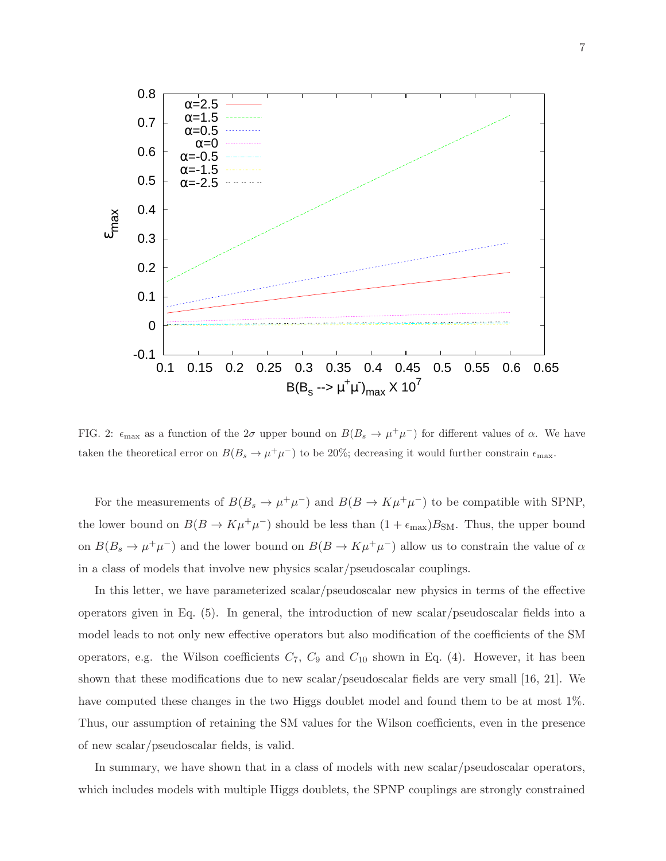

FIG. 2:  $\epsilon_{\text{max}}$  as a function of the  $2\sigma$  upper bound on  $B(B_s \to \mu^+\mu^-)$  for different values of  $\alpha$ . We have taken the theoretical error on  $B(B_s \to \mu^+\mu^-)$  to be 20%; decreasing it would further constrain  $\epsilon_{\text{max}}$ .

For the measurements of  $B(B_s \to \mu^+ \mu^-)$  and  $B(B \to K \mu^+ \mu^-)$  to be compatible with SPNP, the lower bound on  $B(B \to K\mu^+\mu^-)$  should be less than  $(1 + \epsilon_{\text{max}})B_{\text{SM}}$ . Thus, the upper bound on  $B(B_s \to \mu^+\mu^-)$  and the lower bound on  $B(B \to K\mu^+\mu^-)$  allow us to constrain the value of  $\alpha$ in a class of models that involve new physics scalar/pseudoscalar couplings.

In this letter, we have parameterized scalar/pseudoscalar new physics in terms of the effective operators given in Eq. (5). In general, the introduction of new scalar/pseudoscalar fields into a model leads to not only new effective operators but also modification of the coefficients of the SM operators, e.g. the Wilson coefficients  $C_7$ ,  $C_9$  and  $C_{10}$  shown in Eq. (4). However, it has been shown that these modifications due to new scalar/pseudoscalar fields are very small [16, 21]. We have computed these changes in the two Higgs doublet model and found them to be at most 1%. Thus, our assumption of retaining the SM values for the Wilson coefficients, even in the presence of new scalar/pseudoscalar fields, is valid.

In summary, we have shown that in a class of models with new scalar/pseudoscalar operators, which includes models with multiple Higgs doublets, the SPNP couplings are strongly constrained